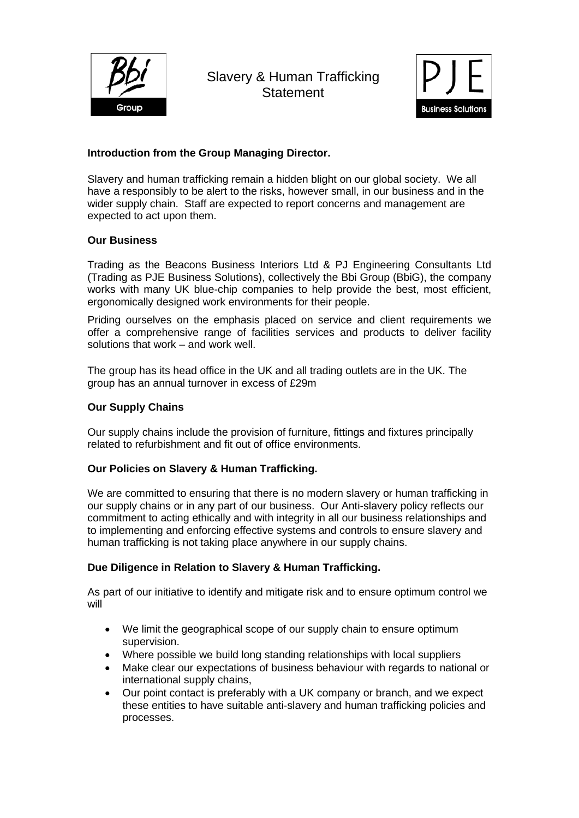

Slavery & Human Trafficking **Statement** 



# **Introduction from the Group Managing Director.**

Slavery and human trafficking remain a hidden blight on our global society. We all have a responsibly to be alert to the risks, however small, in our business and in the wider supply chain. Staff are expected to report concerns and management are expected to act upon them.

## **Our Business**

Trading as the Beacons Business Interiors Ltd & PJ Engineering Consultants Ltd (Trading as PJE Business Solutions), collectively the Bbi Group (BbiG), the company works with many UK blue-chip companies to help provide the best, most efficient, ergonomically designed work environments for their people.

Priding ourselves on the emphasis placed on service and client requirements we offer a comprehensive range of facilities services and products to deliver facility solutions that work – and work well.

The group has its head office in the UK and all trading outlets are in the UK. The group has an annual turnover in excess of £29m

### **Our Supply Chains**

Our supply chains include the provision of furniture, fittings and fixtures principally related to refurbishment and fit out of office environments.

## **Our Policies on Slavery & Human Trafficking.**

We are committed to ensuring that there is no modern slavery or human trafficking in our supply chains or in any part of our business. Our Anti-slavery policy reflects our commitment to acting ethically and with integrity in all our business relationships and to implementing and enforcing effective systems and controls to ensure slavery and human trafficking is not taking place anywhere in our supply chains.

#### **Due Diligence in Relation to Slavery & Human Trafficking.**

As part of our initiative to identify and mitigate risk and to ensure optimum control we will

- We limit the geographical scope of our supply chain to ensure optimum supervision.
- Where possible we build long standing relationships with local suppliers
- Make clear our expectations of business behaviour with regards to national or international supply chains,
- Our point contact is preferably with a UK company or branch, and we expect these entities to have suitable anti-slavery and human trafficking policies and processes.